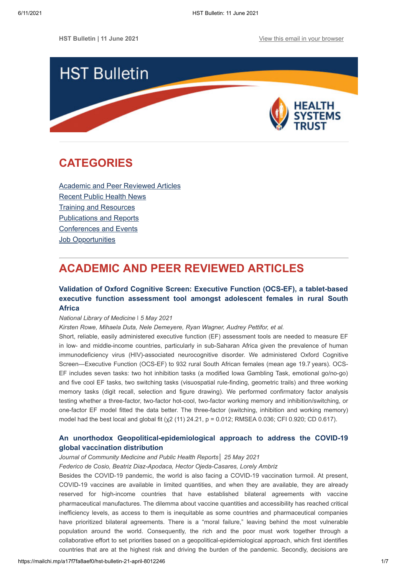

# <span id="page-0-1"></span>**CATEGORIES**

[Academic and Peer Reviewed Articles](#page-0-0) [Recent Public Health News](#page-2-0) Training and Resources [Publications and Reports](#page-4-0) [Conferences and Events](#page-5-0) **[Job Opportunities](#page-5-1)** 

# <span id="page-0-0"></span>**ACADEMIC AND PEER REVIEWED ARTICLES**

# **Validation of Oxford Cognitive Screen: Executive Function (OCS-EF), a tablet-based [executive function assessment tool amongst adolescent females in rural South](https://onlinelibrary.wiley.com/doi/10.1002/ijop.12764) Africa**

*National Library of Medicine* ǀ *5 May 2021*

*Kirsten Rowe, Mihaela Duta, Nele Demeyere, Ryan Wagner, Audrey Pettifor, et al.*

Short, reliable, easily administered executive function (EF) assessment tools are needed to measure EF in low- and middle-income countries, particularly in sub-Saharan Africa given the prevalence of human immunodeficiency virus (HIV)-associated neurocognitive disorder. We administered Oxford Cognitive Screen—Executive Function (OCS-EF) to 932 rural South African females (mean age 19.7 years). OCS-EF includes seven tasks: two hot inhibition tasks (a modified Iowa Gambling Task, emotional go/no-go) and five cool EF tasks, two switching tasks (visuospatial rule-finding, geometric trails) and three working memory tasks (digit recall, selection and figure drawing). We performed confirmatory factor analysis testing whether a three-factor, two-factor hot-cool, two-factor working memory and inhibition/switching, or one-factor EF model fitted the data better. The three-factor (switching, inhibition and working memory) model had the best local and global fit (χ2 (11) 24.21, p = 0.012; RMSEA 0.036; CFI 0.920; CD 0.617).

# **[An unorthodox Geopolitical-epidemiological approach to address the COVID-19](https://www.researchgate.net/profile/Hector-Ojeda-Casares/publication/352006073_An_unorthodox_Geopolitical-epidemiological_approach_to_address_the_COVID-19_global_vaccination_distribution/links/60b571544585154e5ef59b6e/An-unorthodox-Geopolitical-epidemiological-approach-to-address-the-COVID-19-global-vaccination-distribution.pdf) global vaccination distribution**

### *Journal of Community Medicine and Public Health Reports│ 25 May 2021*

*Federico de Cosio, Beatriz Diaz-Apodaca, Hector Ojeda-Casares, Lorely Ambriz*

Besides the COVID-19 pandemic, the world is also facing a COVID-19 vaccination turmoil. At present, COVID-19 vaccines are available in limited quantities, and when they are available, they are already reserved for high-income countries that have established bilateral agreements with vaccine pharmaceutical manufactures. The dilemma about vaccine quantities and accessibility has reached critical inefficiency levels, as access to them is inequitable as some countries and pharmaceutical companies have prioritized bilateral agreements. There is a "moral failure," leaving behind the most vulnerable population around the world. Consequently, the rich and the poor must work together through a collaborative effort to set priorities based on a geopolitical-epidemiological approach, which first identifies countries that are at the highest risk and driving the burden of the pandemic. Secondly, decisions are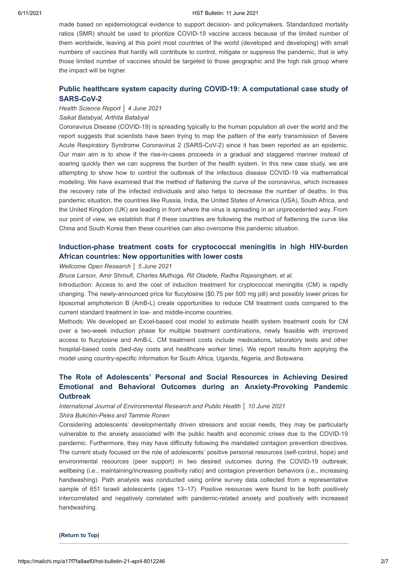#### 6/11/2021 HST Bulletin: 11 June 2021

made based on epidemiological evidence to support decision- and policymakers. Standardized mortality ratios (SMR) should be used to prioritize COVID-19 vaccine access because of the limited number of them worldwide, leaving at this point most countries of the world (developed and developing) with small numbers of vaccines that hardly will contribute to control, mitigate or suppress the pandemic, that is why those limited number of vaccines should be targeted to those geographic and the high risk group where the impact will be higher.

# **[Public healthcare system capacity during COVID-19: A computational case study of](https://onlinelibrary.wiley.com/doi/full/10.1002/hsr2.305) SARS-CoV-2**

# *Health Science Report │ 4 June 2021*

## *Saikat Batabyal, Arthita Batabyal*

Coronavirus Disease (COVID-19) is spreading typically to the human population all over the world and the report suggests that scientists have been trying to map the pattern of the early transmission of Severe Acute Respiratory Syndrome Coronavirus 2 (SARS-CoV-2) since it has been reported as an epidemic. Our main aim is to show if the rise-in-cases proceeds in a gradual and staggered manner instead of soaring quickly then we can suppress the burden of the health system. In this new case study, we are attempting to show how to control the outbreak of the infectious disease COVID-19 via mathematical modeling. We have examined that the method of flattening the curve of the coronavirus, which increases the recovery rate of the infected individuals and also helps to decrease the number of deaths. In this pandemic situation, the countries like Russia, India, the United States of America (USA), South Africa, and the United Kingdom (UK) are leading in front where the virus is spreading in an unprecedented way. From our point of view, we establish that if these countries are following the method of flattening the curve like China and South Korea then these countries can also overcome this pandemic situation.

# **[Induction-phase treatment costs for cryptococcal meningitis in high HIV-burden](https://wellcomeopenresearch.org/articles/6-140) African countries: New opportunities with lower costs**

## *Wellcome Open Research │ 5 June 2021*

*Bruce Larson, Amir Shroufi, Charles Muthoga, Rit Oladele, Radha Rajasingham, et al.*

Introduction: Access to and the cost of induction treatment for cryptococcal meningitis (CM) is rapidly changing. The newly-announced price for flucytosine (\$0.75 per 500 mg pill) and possibly lower prices for liposomal amphotericin B (AmB-L) create opportunities to reduce CM treatment costs compared to the current standard treatment in low- and middle-income countries.

Methods: We developed an Excel-based cost model to estimate health system treatment costs for CM over a two-week induction phase for multiple treatment combinations, newly feasible with improved access to flucytosine and AmB-L. CM treatment costs include medications, laboratory tests and other hospital-based costs (bed-day costs and healthcare worker time). We report results from applying the model using country-specific information for South Africa, Uganda, Nigeria, and Botswana.

# **The Role of Adolescents' Personal and Social Resources in Achieving Desired [Emotional and Behavioral Outcomes during an Anxiety-Provoking Pandemic](https://www.mdpi.com/1660-4601/18/12/6280/htm) Outbreak**

*International Journal of Environmental Research and Public Health │ 10 June 2021 Shira Bukchin-Peles and Tammie Ronen*

Considering adolescents' developmentally driven stressors and social needs, they may be particularly vulnerable to the anxiety associated with the public health and economic crises due to the COVID-19 pandemic. Furthermore, they may have difficulty following the mandated contagion prevention directives. The current study focused on the role of adolescents' positive personal resources (self-control, hope) and environmental resources (peer support) in two desired outcomes during the COVID-19 outbreak: wellbeing (i.e., maintaining/increasing positivity ratio) and contagion prevention behaviors (i.e., increasing handwashing). Path analysis was conducted using online survey data collected from a representative sample of 651 Israeli adolescents (ages 13–17). Positive resources were found to be both positively intercorrelated and negatively correlated with pandemic-related anxiety and positively with increased handwashing.

**[\(Return to Top\)](#page-0-1)**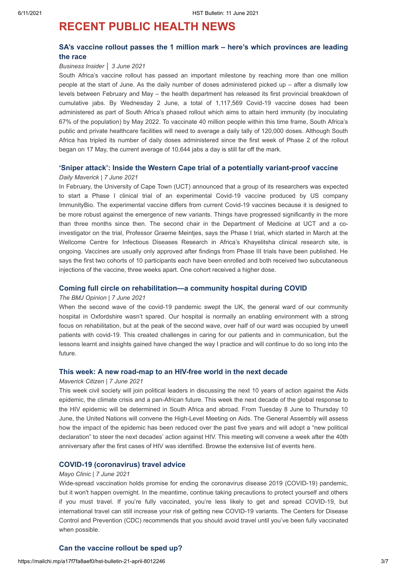# <span id="page-2-0"></span>**RECENT PUBLIC HEALTH NEWS**

# **[SA's vaccine rollout passes the 1 million mark – here's which provinces are leading](https://www.businessinsider.co.za/trending/which-province-is-leading-south-africa-covid-19-vaccine-rollout-2021-6) the race**

### *Business Insider │ 3 June 2021*

South Africa's vaccine rollout has passed an important milestone by reaching more than one million people at the start of June. As the daily number of doses administered picked up – after a dismally low levels between February and May – the health department has released its first provincial breakdown of cumulative jabs. By Wednesday 2 June, a total of 1,117,569 Covid-19 vaccine doses had been administered as part of South Africa's phased rollout which aims to attain herd immunity (by inoculating 67% of the population) by May 2022. To vaccinate 40 million people within this time frame, South Africa's public and private healthcare facilities will need to average a daily tally of 120,000 doses. Although South Africa has tripled its number of daily doses administered since the first week of Phase 2 of the rollout began on 17 May, the current average of 10,644 jabs a day is still far off the mark.

# **['Sniper attack': Inside the Western Cape trial of a potentially variant-proof vaccine](https://www.dailymaverick.co.za/article/2021-06-07-sniper-attack-inside-the-western-cape-trial-of-a-potentially-variant-proof-vaccine/)**

#### *Daily Maverick | 7 June 2021*

In February, the University of Cape Town (UCT) announced that a group of its researchers was expected to start a Phase I clinical trial of an experimental Covid-19 vaccine produced by US company ImmunityBio. The experimental vaccine differs from current Covid-19 vaccines because it is designed to be more robust against the emergence of new variants. Things have progressed significantly in the more than three months since then. The second chair in the Department of Medicine at UCT and a coinvestigator on the trial, Professor Graeme Meintjes, says the Phase I trial, which started in March at the Wellcome Centre for Infectious Diseases Research in Africa's Khayelitsha clinical research site, is ongoing. Vaccines are usually only approved after findings from Phase III trials have been published. He says the first two cohorts of 10 participants each have been enrolled and both received two subcutaneous injections of the vaccine, three weeks apart. One cohort received a higher dose.

### **[Coming full circle on rehabilitation—a community hospital during COVID](https://blogs.bmj.com/bmj/2021/06/07/coming-full-circle-on-rehabilitation-a-community-hospital-during-covid/?utm_source=twitter&utm_medium=social&utm_term=hootsuite&utm_content=sme&utm_campaign=usage)**

#### *The BMJ Opinion | 7 June 2021*

When the second wave of the covid-19 pandemic swept the UK, the general ward of our community hospital in Oxfordshire wasn't spared. Our hospital is normally an enabling environment with a strong focus on rehabilitation, but at the peak of the second wave, over half of our ward was occupied by unwell patients with covid-19. This created challenges in caring for our patients and in communication, but the lessons learnt and insights gained have changed the way I practice and will continue to do so long into the future.

## **[This week: A new road-map to an HIV-free world in the next decade](https://www.dailymaverick.co.za/article/2021-06-07-this-week-a-new-road-map-to-an-hiv-free-world-in-the-next-decade/?utm_campaign=snd-autopilot)**

#### *Maverick Citizen | 7 June 2021*

This week civil society will join political leaders in discussing the next 10 years of action against the Aids epidemic, the climate crisis and a pan-African future. This week the next decade of the global response to the HIV epidemic will be determined in South Africa and abroad. From Tuesday 8 June to Thursday 10 June, the United Nations will convene the High-Level Meeting on Aids. The General Assembly will assess how the impact of the epidemic has been reduced over the past five years and will adopt a "new political declaration" to steer the next decades' action against HIV. This meeting will convene a week after the 40th anniversary after the first cases of HIV was identified. Browse the extensive list of events here.

## **[COVID-19 \(coronavirus\) travel advice](https://www.mayoclinic.org/diseases-conditions/coronavirus/in-depth/coronavirus-safe-travel-advice/art-20486965?mc_id=us&utm_source=enewsletter&utm_medium=en&utm_content=general&utm_campaign=mayoclinic&geo=national&placementsite=enterprise&invsrc=patloy&cauid=119484)**

### *Mayo Clinic | 7 June 2021*

Wide-spread vaccination holds promise for ending the coronavirus disease 2019 (COVID-19) pandemic. but it won't happen overnight. In the meantime, continue taking precautions to protect yourself and others if you must travel. If you're fully vaccinated, you're less likely to get and spread COVID-19, but international travel can still increase your risk of getting new COVID-19 variants. The Centers for Disease Control and Prevention (CDC) recommends that you should avoid travel until you've been fully vaccinated when possible.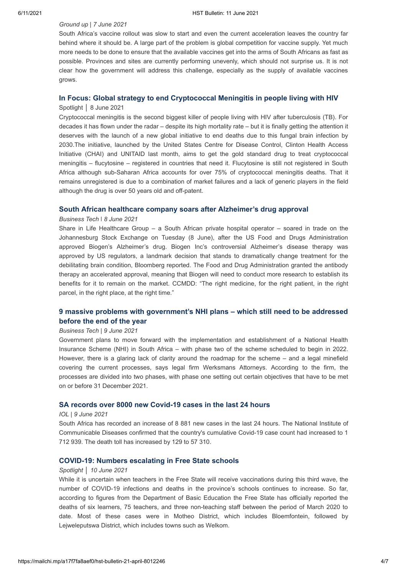### *Ground up | 7 June 2021*

South Africa's vaccine rollout was slow to start and even the current acceleration leaves the country far behind where it should be. A large part of the problem is global competition for vaccine supply. Yet much more needs to be done to ensure that the available vaccines get into the arms of South Africans as fast as possible. Provinces and sites are currently performing unevenly, which should not surprise us. It is not clear how the government will address this challenge, especially as the supply of available vaccines grows.

# **[In Focus: Global strategy to end Cryptococcal Meningitis in people living with HIV](https://www.spotlightnsp.co.za/2021/06/08/in-focus-global-strategy-to-end-cryptococcal-meningitis-in-people-living-with-hiv/)**

## Spotlight │ 8 June 2021

Cryptococcal meningitis is the second biggest killer of people living with HIV after tuberculosis (TB). For decades it has flown under the radar – despite its high mortality rate – but it is finally getting the attention it deserves with the launch of a new global initiative to end deaths due to this fungal brain infection by 2030.The initiative, launched by the United States Centre for Disease Control, Clinton Health Access Initiative (CHAI) and UNITAID last month, aims to get the gold standard drug to treat cryptococcal meningitis – flucytosine – registered in countries that need it. Flucytosine is still not registered in South Africa although sub-Saharan Africa accounts for over 75% of cryptococcal meningitis deaths. That it remains unregistered is due to a combination of market failures and a lack of generic players in the field although the drug is over 50 years old and off-patent.

## **[South African healthcare company soars after Alzheimer's drug approval](https://businesstech.co.za/news/business/496905/south-african-healthcare-company-soars-after-alzheimers-drug-approval/)**

#### *Business Tech ǀ 8 June 2021*

Share in Life Healthcare Group – a South African private hospital operator – soared in trade on the Johannesburg Stock Exchange on Tuesday (8 June), after the US Food and Drugs Administration approved Biogen's Alzheimer's drug. Biogen Inc's controversial Alzheimer's disease therapy was approved by US regulators, a landmark decision that stands to dramatically change treatment for the debilitating brain condition, Bloomberg reported. The Food and Drug Administration granted the antibody therapy an accelerated approval, meaning that Biogen will need to conduct more research to establish its benefits for it to remain on the market. CCMDD: "The right medicine, for the right patient, in the right parcel, in the right place, at the right time."

# **9 massive problems [with government's NHI plans – which still need to be addressed](https://businesstech.co.za/news/government/497353/9-massive-problems-with-governments-nhi-plans-which-still-need-to-be-addressed-before-the-end-of-the-year/) before the end of the year**

### *Business Tech* | *9 June 2021*

Government plans to move forward with the implementation and establishment of a National Health Insurance Scheme (NHI) in South Africa – with phase two of the scheme scheduled to begin in 2022. However, there is a glaring lack of clarity around the roadmap for the scheme – and a legal minefield covering the current processes, says legal firm Werksmans Attorneys. According to the firm, the processes are divided into two phases, with phase one setting out certain objectives that have to be met on or before 31 December 2021.

## **[SA records over 8000 new Covid-19 cases in the last 24 hours](https://www.iol.co.za/news/south-africa/kwazulu-natal/sa-records-over-8000-new-covid-19-cases-in-the-last-24-hours-eece27d0-e058-495a-93d9-c1058f0ff718)**

#### *IOL* | *9 June 2021*

South Africa has recorded an increase of 8 881 new cases in the last 24 hours. The National Institute of Communicable Diseases confirmed that the country's cumulative Covid-19 case count had increased to 1 712 939. The death toll has increased by 129 to 57 310.

## **[COVID-19: Numbers escalating in Free State schools](https://www.spotlightnsp.co.za/2021/06/10/covid-19-numbers-escalating-in-free-state-schools/)**

#### *Spotlight* │ *10 June 2021*

While it is uncertain when teachers in the Free State will receive vaccinations during this third wave, the number of COVID-19 infections and deaths in the province's schools continues to increase. So far, according to figures from the Department of Basic Education the Free State has officially reported the deaths of six learners, 75 teachers, and three non-teaching staff between the period of March 2020 to date. Most of these cases were in Motheo District, which includes Bloemfontein, followed by Lejweleputswa District, which includes towns such as Welkom.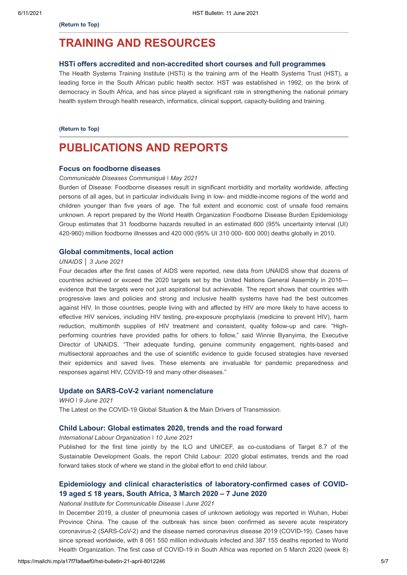# <span id="page-4-0"></span>**TRAINING AND RESOURCES**

#### **[HSTi offers accredited and non-accredited short courses and full programmes](https://www.hstinstitute.co.za/Training)**

The Health Systems Training Institute (HSTi) is the training arm of the Health Systems Trust (HST), a leading force in the South African public health sector. HST was established in 1992, on the brink of democracy in South Africa, and has since played a significant role in strengthening the national primary health system through health research, informatics, clinical support, capacity-building and training.

#### **[\(Return to Top\)](#page-0-1)**

# **PUBLICATIONS AND REPORTS**

#### **[Focus on foodborne diseases](https://www.nicd.ac.za/wp-content/uploads/2021/05/Entertic-diseases.pdf)**

*Communicable Diseases Communiqué ǀ May 2021*

Burden of Disease: Foodborne diseases result in significant morbidity and mortality worldwide, affecting persons of all ages, but in particular individuals living in low- and middle-income regions of the world and children younger than five years of age. The full extent and economic cost of unsafe food remains unknown. A report prepared by the World Health Organization Foodborne Disease Burden Epidemiology Group estimates that 31 foodborne hazards resulted in an estimated 600 (95% uncertainty interval (UI) 420-960) million foodborne illnesses and 420 000 (95% UI 310 000- 600 000) deaths globally in 2010.

# **[Global commitments, local action](https://www.unaids.org/en/resources/presscentre/pressreleaseandstatementarchive/2021/june/20210603_global-commitments-local-action)**

## *UNAIDS │ 3 June 2021*

Four decades after the first cases of AIDS were reported, new data from UNAIDS show that dozens of countries achieved or exceed the 2020 targets set by the United Nations General Assembly in 2016 evidence that the targets were not just aspirational but achievable. The report shows that countries with progressive laws and policies and strong and inclusive health systems have had the best outcomes against HIV. In those countries, people living with and affected by HIV are more likely to have access to effective HIV services, including HIV testing, pre-exposure prophylaxis (medicine to prevent HIV), harm reduction, multimonth supplies of HIV treatment and consistent, quality follow-up and care. "Highperforming countries have provided paths for others to follow," said Winnie Byanyima, the Executive Director of UNAIDS. "Their adequate funding, genuine community engagement, rights-based and multisectoral approaches and the use of scientific evidence to guide focused strategies have reversed their epidemics and saved lives. These elements are invaluable for pandemic preparedness and responses against HIV, COVID-19 and many other diseases."

#### **[Update on SARS-CoV-2 variant nomenclature](https://www.who.int/docs/default-source/coronaviruse/risk-comms-updates/update60_nomenclature-variants.pdf?sfvrsn=27fc6fa_4)**

*WHO ǀ 9 June 2021*

The Latest on the COVID-19 Global Situation & the Main Drivers of Transmission.

#### **[Child Labour: Global estimates 2020, trends and the road forward](https://www.ilo.org/ipec/Informationresources/WCMS_797515/lang--en/index.htm)**

*International Labour Organization ǀ 10 June 2021*

Published for the first time jointly by the ILO and UNICEF, as co-custodians of Target 8.7 of the Sustainable Development Goals, the report Child Labour: 2020 global estimates, trends and the road forward takes stock of where we stand in the global effort to end child labour.

# **[Epidemiology and clinical characteristics of laboratory-confirmed cases of COVID-](https://www.nicd.ac.za/wp-content/uploads/2020/07/Laboratory-confirmed-cases-of-COVID-19-aged-%E2%89%A418-years.pdf)19 aged ≤ 18 years, South Africa, 3 March 2020 – 7 June 2020**

*National Institute for Communicable Disease ǀ June 2021*

In December 2019, a cluster of pneumonia cases of unknown aetiology was reported in Wuhan, Hubei Province China. The cause of the outbreak has since been confirmed as severe acute respiratory coronavirus-2 (SARS-CoV-2) and the disease named coronavirus disease 2019 (COVID-19). Cases have since spread worldwide, with 8 061 550 million individuals infected and 387 155 deaths reported to World Health Organization. The first case of COVID-19 in South Africa was reported on 5 March 2020 (week 8)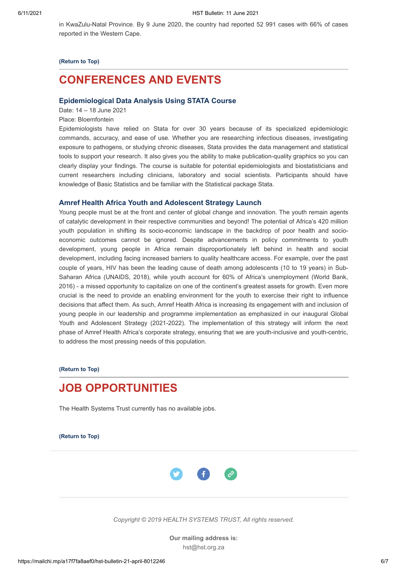in KwaZulu-Natal Province. By 9 June 2020, the country had reported 52 991 cases with 66% of cases reported in the Western Cape.

#### **[\(Return to Top\)](#page-0-1)**

# <span id="page-5-0"></span>**CONFERENCES AND EVENTS**

## **[Epidemiological Data Analysis Using STATA Course](https://10times.com/e1z3-d6x4-g9sd)**

Date: 14 – 18 June 2021

Place: Bloemfontein

Epidemiologists have relied on Stata for over 30 years because of its specialized epidemiologic commands, accuracy, and ease of use. Whether you are researching infectious diseases, investigating exposure to pathogens, or studying chronic diseases, Stata provides the data management and statistical tools to support your research. It also gives you the ability to make publication-quality graphics so you can clearly display your findings. The course is suitable for potential epidemiologists and biostatisticians and current researchers including clinicians, laboratory and social scientists. Participants should have knowledge of Basic Statistics and be familiar with the Statistical package Stata.

#### **[Amref Health Africa Youth and Adolescent Strategy Launch](https://amref.zoom.us/webinar/register/WN_tuWapP_9RKGsGoqQ6cGRvg)**

Young people must be at the front and center of global change and innovation. The youth remain agents of catalytic development in their respective communities and beyond! The potential of Africa's 420 million youth population in shifting its socio-economic landscape in the backdrop of poor health and socioeconomic outcomes cannot be ignored. Despite advancements in policy commitments to youth development, young people in Africa remain disproportionately left behind in health and social development, including facing increased barriers to quality healthcare access. For example, over the past couple of years, HIV has been the leading cause of death among adolescents (10 to 19 years) in Sub-Saharan Africa (UNAIDS, 2018), while youth account for 60% of Africa's unemployment (World Bank, 2016) - a missed opportunity to capitalize on one of the continent's greatest assets for growth. Even more crucial is the need to provide an enabling environment for the youth to exercise their right to influence decisions that affect them. As such, Amref Health Africa is increasing its engagement with and inclusion of young people in our leadership and programme implementation as emphasized in our inaugural Global Youth and Adolescent Strategy (2021-2022). The implementation of this strategy will inform the next phase of Amref Health Africa's corporate strategy, ensuring that we are youth-inclusive and youth-centric, to address the most pressing needs of this population.

**[\(Return to Top\)](#page-0-1)**

# <span id="page-5-1"></span>**JOB OPPORTUNITIES**

The Health Systems Trust currently has no available jobs.

**[\(Return to Top\)](#page-0-1)**



*Copyright © 2019 HEALTH SYSTEMS TRUST, All rights reserved.*

**Our mailing address is:** hst@hst.org.za